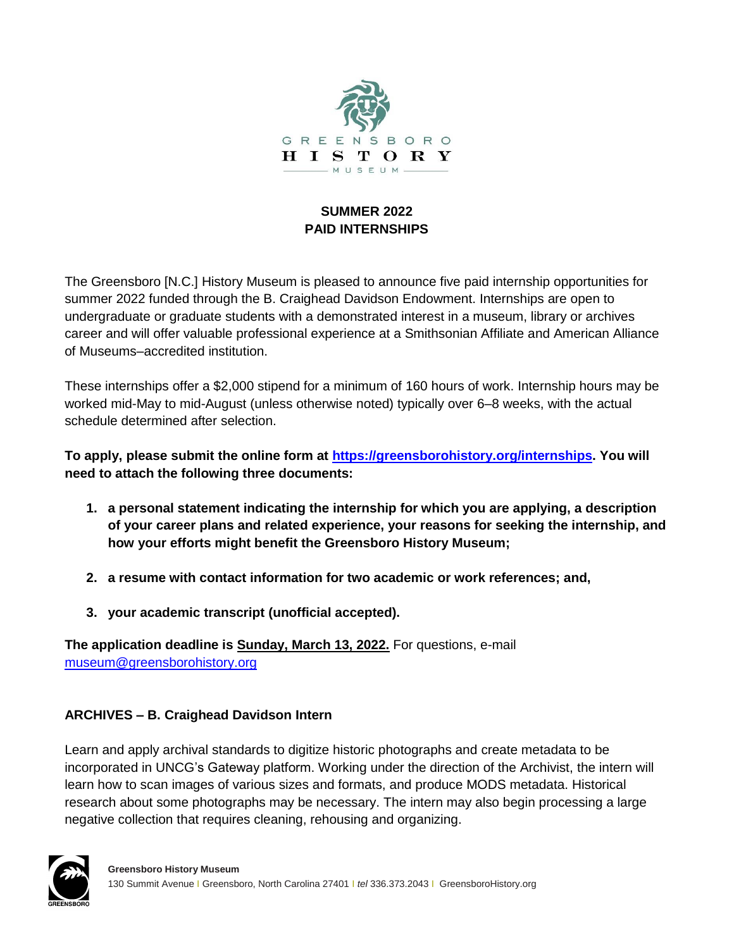

## **SUMMER 2022 PAID INTERNSHIPS**

The Greensboro [N.C.] History Museum is pleased to announce five paid internship opportunities for summer 2022 funded through the B. Craighead Davidson Endowment. Internships are open to undergraduate or graduate students with a demonstrated interest in a museum, library or archives career and will offer valuable professional experience at a Smithsonian Affiliate and American Alliance of Museums–accredited institution.

These internships offer a \$2,000 stipend for a minimum of 160 hours of work. Internship hours may be worked mid-May to mid-August (unless otherwise noted) typically over 6–8 weeks, with the actual schedule determined after selection.

**To apply, please submit the online form at [https://greensborohistory.org/internships.](https://greensborohistory.org/internships) You will need to attach the following three documents:**

- **1. a personal statement indicating the internship for which you are applying, a description of your career plans and related experience, your reasons for seeking the internship, and how your efforts might benefit the Greensboro History Museum;**
- **2. a resume with contact information for two academic or work references; and,**
- **3. your academic transcript (unofficial accepted).**

**The application deadline is Sunday, March 13, 2022.** For questions, e-mail [museum@greensborohistory.org](mailto:museum@greensborohistory.org)

## **ARCHIVES – B. Craighead Davidson Intern**

Learn and apply archival standards to digitize historic photographs and create metadata to be incorporated in UNCG's Gateway platform. Working under the direction of the Archivist, the intern will learn how to scan images of various sizes and formats, and produce MODS metadata. Historical research about some photographs may be necessary. The intern may also begin processing a large negative collection that requires cleaning, rehousing and organizing.

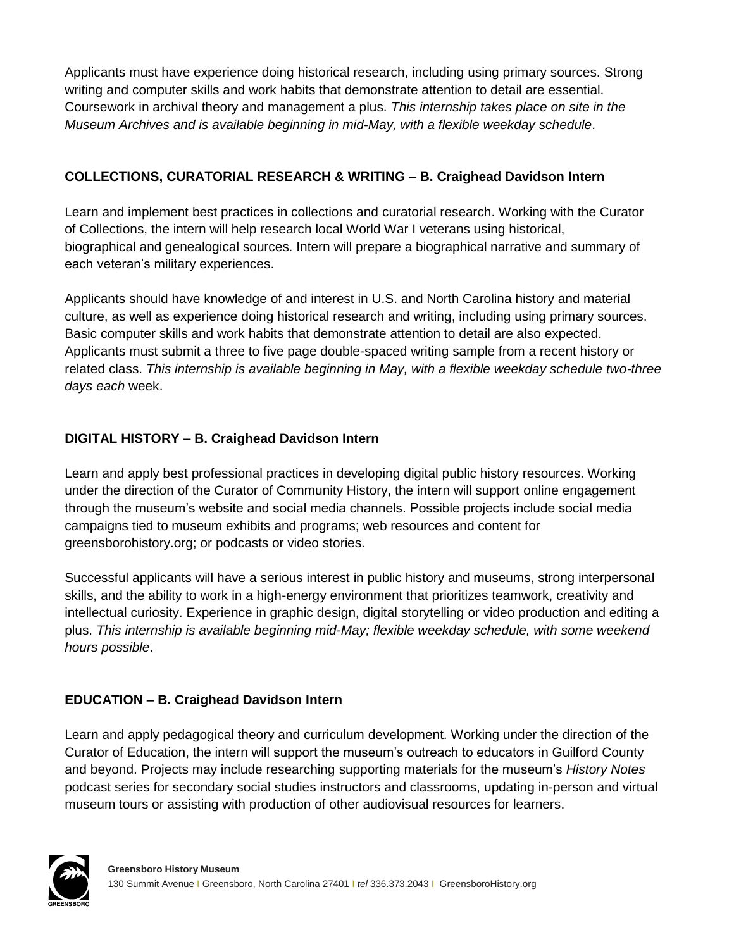Applicants must have experience doing historical research, including using primary sources. Strong writing and computer skills and work habits that demonstrate attention to detail are essential. Coursework in archival theory and management a plus. *This internship takes place on site in the Museum Archives and is available beginning in mid-May, with a flexible weekday schedule*.

## **COLLECTIONS, CURATORIAL RESEARCH & WRITING – B. Craighead Davidson Intern**

Learn and implement best practices in collections and curatorial research. Working with the Curator of Collections, the intern will help research local World War I veterans using historical, biographical and genealogical sources. Intern will prepare a biographical narrative and summary of each veteran's military experiences.

Applicants should have knowledge of and interest in U.S. and North Carolina history and material culture, as well as experience doing historical research and writing, including using primary sources. Basic computer skills and work habits that demonstrate attention to detail are also expected. Applicants must submit a three to five page double-spaced writing sample from a recent history or related class. *This internship is available beginning in May, with a flexible weekday schedule two-three days each* week.

# **DIGITAL HISTORY – B. Craighead Davidson Intern**

Learn and apply best professional practices in developing digital public history resources. Working under the direction of the Curator of Community History, the intern will support online engagement through the museum's website and social media channels. Possible projects include social media campaigns tied to museum exhibits and programs; web resources and content for greensborohistory.org; or podcasts or video stories.

Successful applicants will have a serious interest in public history and museums, strong interpersonal skills, and the ability to work in a high-energy environment that prioritizes teamwork, creativity and intellectual curiosity. Experience in graphic design, digital storytelling or video production and editing a plus. *This internship is available beginning mid-May; flexible weekday schedule, with some weekend hours possible*.

# **EDUCATION – B. Craighead Davidson Intern**

Learn and apply pedagogical theory and curriculum development. Working under the direction of the Curator of Education, the intern will support the museum's outreach to educators in Guilford County and beyond. Projects may include researching supporting materials for the museum's *History Notes* podcast series for secondary social studies instructors and classrooms, updating in-person and virtual museum tours or assisting with production of other audiovisual resources for learners.